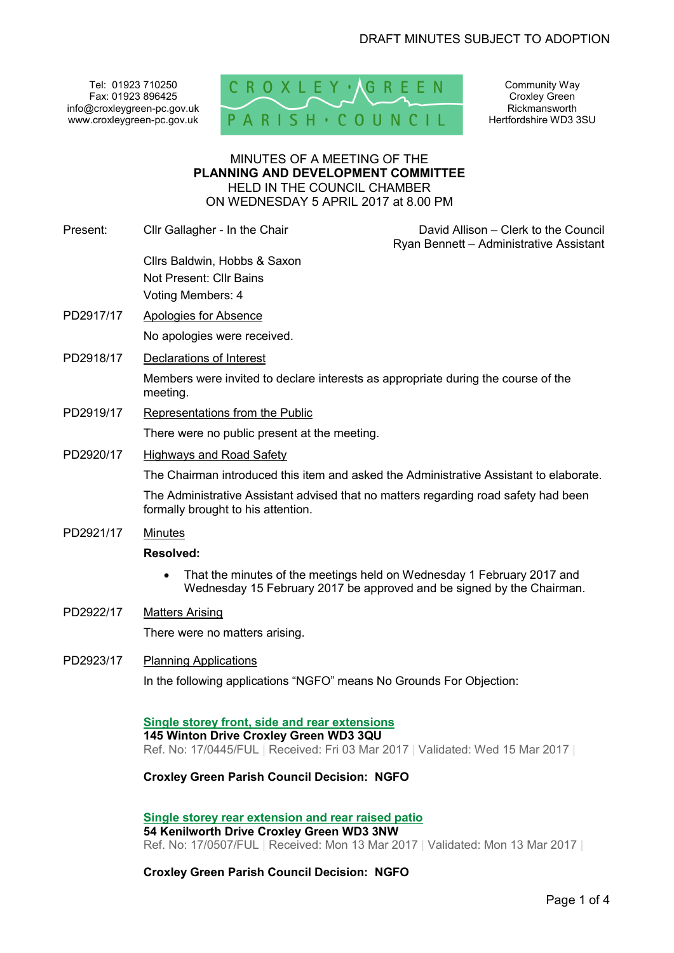Tel: 01923 710250 Fax: 01923 896425 info@croxleygreen-pc.gov.uk www.croxleygreen-pc.gov.uk



Community Way Croxley Green Rickmansworth Hertfordshire WD3 3SU

### MINUTES OF A MEETING OF THE **PLANNING AND DEVELOPMENT COMMITTEE** HELD IN THE COUNCIL CHAMBER ON WEDNESDAY 5 APRIL 2017 at 8.00 PM

| Present:  | Cllr Gallagher - In the Chair                                                                                                                                                   | David Allison - Clerk to the Council<br>Ryan Bennett - Administrative Assistant |
|-----------|---------------------------------------------------------------------------------------------------------------------------------------------------------------------------------|---------------------------------------------------------------------------------|
|           | Cllrs Baldwin, Hobbs & Saxon<br>Not Present: Cllr Bains<br>Voting Members: 4                                                                                                    |                                                                                 |
| PD2917/17 | Apologies for Absence                                                                                                                                                           |                                                                                 |
|           | No apologies were received.                                                                                                                                                     |                                                                                 |
| PD2918/17 | <b>Declarations of Interest</b>                                                                                                                                                 |                                                                                 |
|           | Members were invited to declare interests as appropriate during the course of the<br>meeting.                                                                                   |                                                                                 |
| PD2919/17 | Representations from the Public                                                                                                                                                 |                                                                                 |
|           | There were no public present at the meeting.                                                                                                                                    |                                                                                 |
| PD2920/17 | <b>Highways and Road Safety</b>                                                                                                                                                 |                                                                                 |
|           | The Chairman introduced this item and asked the Administrative Assistant to elaborate.                                                                                          |                                                                                 |
|           | The Administrative Assistant advised that no matters regarding road safety had been<br>formally brought to his attention.                                                       |                                                                                 |
| PD2921/17 | <b>Minutes</b>                                                                                                                                                                  |                                                                                 |
|           | <b>Resolved:</b>                                                                                                                                                                |                                                                                 |
|           | That the minutes of the meetings held on Wednesday 1 February 2017 and<br>Wednesday 15 February 2017 be approved and be signed by the Chairman.                                 |                                                                                 |
| PD2922/17 | <b>Matters Arising</b>                                                                                                                                                          |                                                                                 |
|           | There were no matters arising.                                                                                                                                                  |                                                                                 |
| PD2923/17 | <b>Planning Applications</b>                                                                                                                                                    |                                                                                 |
|           | In the following applications "NGFO" means No Grounds For Objection:                                                                                                            |                                                                                 |
|           | <b>Single storey front, side and rear extensions</b><br>145 Winton Drive Croxley Green WD3 3QU<br>Ref. No: 17/0445/FUL   Received: Fri 03 Mar 2017   Validated: Wed 15 Mar 2017 |                                                                                 |
|           |                                                                                                                                                                                 |                                                                                 |

**Croxley Green Parish Council Decision: NGFO** 

**Single storey rear extension and rear raised patio 54 Kenilworth Drive Croxley Green WD3 3NW**  Ref. No: 17/0507/FUL | Received: Mon 13 Mar 2017 | Validated: Mon 13 Mar 2017 |

**Croxley Green Parish Council Decision: NGFO**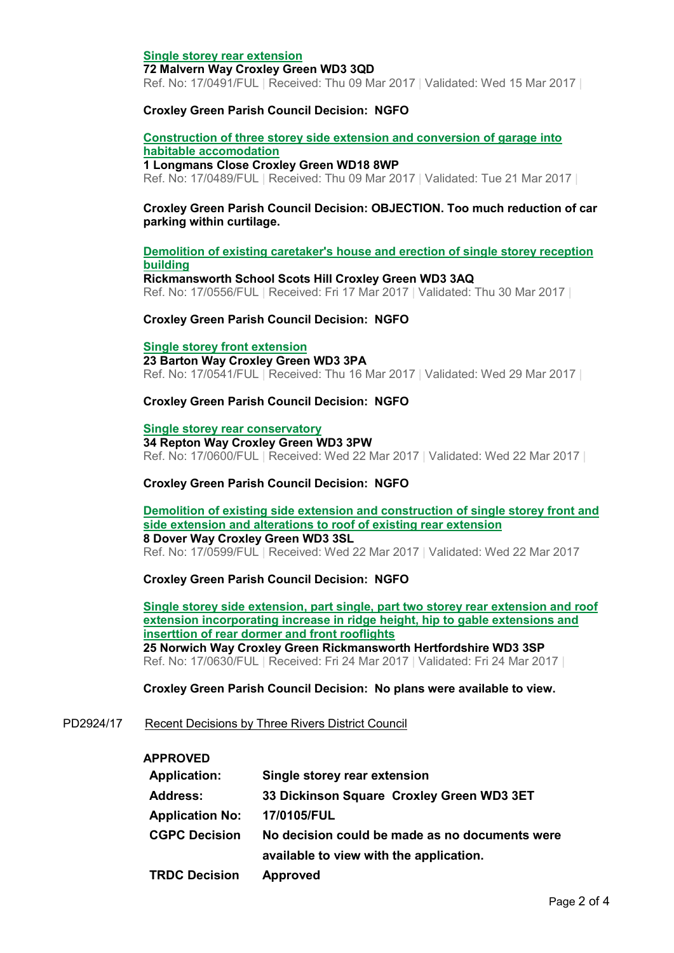### **Single storey rear extension**

#### **72 Malvern Way Croxley Green WD3 3QD**

Ref. No: 17/0491/FUL | Received: Thu 09 Mar 2017 | Validated: Wed 15 Mar 2017 |

### **Croxley Green Parish Council Decision: NGFO**

# **Construction of three storey side extension and conversion of garage into habitable accomodation**

#### **1 Longmans Close Croxley Green WD18 8WP**

Ref. No: 17/0489/FUL | Received: Thu 09 Mar 2017 | Validated: Tue 21 Mar 2017 |

## **Croxley Green Parish Council Decision: OBJECTION. Too much reduction of car parking within curtilage.**

# **Demolition of existing caretaker's house and erection of single storey reception building**

**Rickmansworth School Scots Hill Croxley Green WD3 3AQ**  Ref. No: 17/0556/FUL | Received: Fri 17 Mar 2017 | Validated: Thu 30 Mar 2017 |

#### **Croxley Green Parish Council Decision: NGFO**

#### **Single storey front extension**

# **23 Barton Way Croxley Green WD3 3PA**

Ref. No: 17/0541/FUL | Received: Thu 16 Mar 2017 | Validated: Wed 29 Mar 2017 |

## **Croxley Green Parish Council Decision: NGFO**

#### **Single storey rear conservatory**

**34 Repton Way Croxley Green WD3 3PW**  Ref. No: 17/0600/FUL | Received: Wed 22 Mar 2017 | Validated: Wed 22 Mar 2017 |

## **Croxley Green Parish Council Decision: NGFO**

#### **Demolition of existing side extension and construction of single storey front and side extension and alterations to roof of existing rear extension 8 Dover Way Croxley Green WD3 3SL**  Ref. No: 17/0599/FUL | Received: Wed 22 Mar 2017 | Validated: Wed 22 Mar 2017

## **Croxley Green Parish Council Decision: NGFO**

**Single storey side extension, part single, part two storey rear extension and roof extension incorporating increase in ridge height, hip to gable extensions and inserttion of rear dormer and front rooflights 25 Norwich Way Croxley Green Rickmansworth Hertfordshire WD3 3SP** 

Ref. No: 17/0630/FUL | Received: Fri 24 Mar 2017 | Validated: Fri 24 Mar 2017 |

#### **Croxley Green Parish Council Decision: No plans were available to view.**

## PD2924/17 Recent Decisions by Three Rivers District Council

#### **APPROVED**

| <b>Application:</b>    | Single storey rear extension                   |
|------------------------|------------------------------------------------|
| <b>Address:</b>        | 33 Dickinson Square Croxley Green WD3 3ET      |
| <b>Application No:</b> | 17/0105/FUL                                    |
| <b>CGPC Decision</b>   | No decision could be made as no documents were |
|                        | available to view with the application.        |
| <b>TRDC Decision</b>   | <b>Approved</b>                                |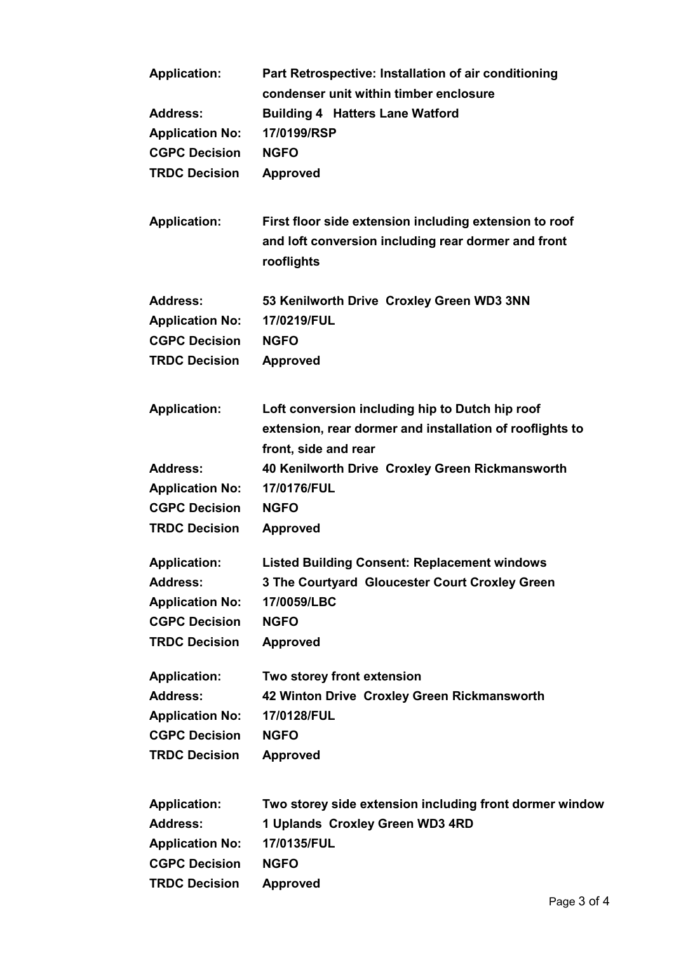| <b>Application:</b>    | Part Retrospective: Installation of air conditioning              |
|------------------------|-------------------------------------------------------------------|
|                        | condenser unit within timber enclosure                            |
| <b>Address:</b>        | <b>Building 4 Hatters Lane Watford</b>                            |
| <b>Application No:</b> | 17/0199/RSP                                                       |
| <b>CGPC Decision</b>   | <b>NGFO</b>                                                       |
| <b>TRDC Decision</b>   | <b>Approved</b>                                                   |
| <b>Application:</b>    | First floor side extension including extension to roof            |
|                        | and loft conversion including rear dormer and front<br>rooflights |
| <b>Address:</b>        | 53 Kenilworth Drive Croxley Green WD3 3NN                         |
| <b>Application No:</b> | 17/0219/FUL                                                       |
| <b>CGPC Decision</b>   | <b>NGFO</b>                                                       |
| <b>TRDC Decision</b>   | <b>Approved</b>                                                   |
| <b>Application:</b>    | Loft conversion including hip to Dutch hip roof                   |
|                        | extension, rear dormer and installation of rooflights to          |
|                        | front, side and rear                                              |
| <b>Address:</b>        | 40 Kenilworth Drive Croxley Green Rickmansworth                   |
| <b>Application No:</b> | 17/0176/FUL                                                       |
| <b>CGPC Decision</b>   | <b>NGFO</b>                                                       |
| <b>TRDC Decision</b>   | <b>Approved</b>                                                   |
| <b>Application:</b>    | <b>Listed Building Consent: Replacement windows</b>               |
| <b>Address:</b>        | 3 The Courtyard Gloucester Court Croxley Green                    |
| <b>Application No:</b> | 17/0059/LBC                                                       |
| <b>CGPC Decision</b>   | <b>NGFO</b>                                                       |
| <b>TRDC Decision</b>   | <b>Approved</b>                                                   |
| <b>Application:</b>    | Two storey front extension                                        |
| <b>Address:</b>        | 42 Winton Drive Croxley Green Rickmansworth                       |
| <b>Application No:</b> | 17/0128/FUL                                                       |
| <b>CGPC Decision</b>   | <b>NGFO</b>                                                       |
| <b>TRDC Decision</b>   | <b>Approved</b>                                                   |
| <b>Application:</b>    | Two storey side extension including front dormer window           |
| <b>Address:</b>        | 1 Uplands Croxley Green WD3 4RD                                   |
| <b>Application No:</b> | 17/0135/FUL                                                       |
| <b>CGPC Decision</b>   | <b>NGFO</b>                                                       |
| <b>TRDC Decision</b>   | <b>Approved</b>                                                   |
|                        | $D_{\text{max}}$ 2 of                                             |